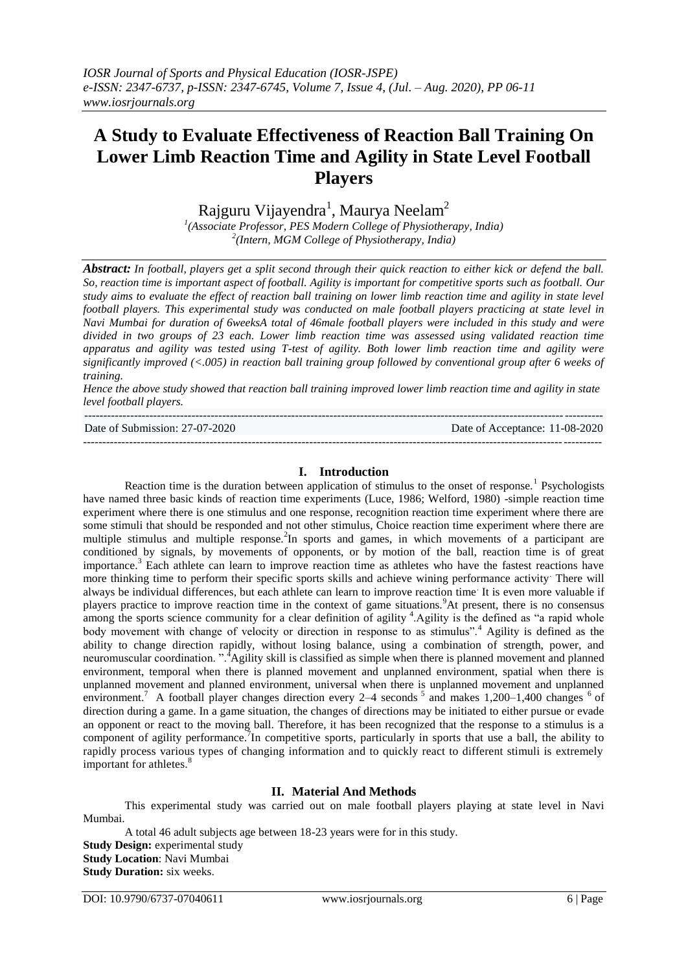# **A Study to Evaluate Effectiveness of Reaction Ball Training On Lower Limb Reaction Time and Agility in State Level Football Players**

Rajguru Vijayendra<sup>1</sup>, Maurya Neelam<sup>2</sup>

*1 (Associate Professor, PES Modern College of Physiotherapy, India) 2 (Intern, MGM College of Physiotherapy, India)* 

*Abstract: In football, players get a split second through their quick reaction to either kick or defend the ball. So, reaction time is important aspect of football. Agility is important for competitive sports such as football. Our study aims to evaluate the effect of reaction ball training on lower limb reaction time and agility in state level football players. This experimental study was conducted on male football players practicing at state level in Navi Mumbai for duration of 6weeksA total of 46male football players were included in this study and were divided in two groups of 23 each. Lower limb reaction time was assessed using validated reaction time apparatus and agility was tested using T-test of agility. Both lower limb reaction time and agility were significantly improved (<.005) in reaction ball training group followed by conventional group after 6 weeks of training.* 

*Hence the above study showed that reaction ball training improved lower limb reaction time and agility in state level football players.*

| Date of Submission: 27-07-2020 | Date of Acceptance: 11-08-2020 |
|--------------------------------|--------------------------------|
|                                |                                |

#### **I. Introduction**

Reaction time is the duration between application of stimulus to the onset of response.<sup>1</sup> Psychologists have named three basic kinds of reaction time experiments (Luce, 1986; Welford, 1980) -simple reaction time experiment where there is one stimulus and one response, recognition reaction time experiment where there are some stimuli that should be responded and not other stimulus, Choice reaction time experiment where there are multiple stimulus and multiple response.<sup>2</sup>In sports and games, in which movements of a participant are conditioned by signals, by movements of opponents, or by motion of the ball, reaction time is of great importance.<sup>3</sup> Each athlete can learn to improve reaction time as athletes who have the fastest reactions have more thinking time to perform their specific sports skills and achieve wining performance activity. There will always be individual differences, but each athlete can learn to improve reaction time. It is even more valuable if players practice to improve reaction time in the context of game situations.<sup>9</sup>At present, there is no consensus among the sports science community for a clear definition of agility <sup>4</sup>. Agility is the defined as "a rapid whole body movement with change of velocity or direction in response to as stimulus".<sup>4</sup> Agility is defined as the ability to change direction rapidly, without losing balance, using a combination of strength, power, and neuromuscular coordination. ".<sup>4</sup>Agility skill is classified as simple when there is planned movement and planned environment, temporal when there is planned movement and unplanned environment, spatial when there is unplanned movement and planned environment, universal when there is unplanned movement and unplanned environment.<sup>7</sup> A football player changes direction every 2–4 seconds  $5$  and makes 1,200–1,400 changes  $6$  of direction during a game. In a game situation, the changes of directions may be initiated to either pursue or evade an opponent or react to the moving ball. Therefore, it has been recognized that the response to a stimulus is a component of agility performance. In competitive sports, particularly in sports that use a ball, the ability to rapidly process various types of changing information and to quickly react to different stimuli is extremely important for athletes. $8$ 

## **II. Material And Methods**

This experimental study was carried out on male football players playing at state level in Navi Mumbai.

A total 46 adult subjects age between 18-23 years were for in this study. **Study Design:** experimental study **Study Location**: Navi Mumbai **Study Duration:** six weeks.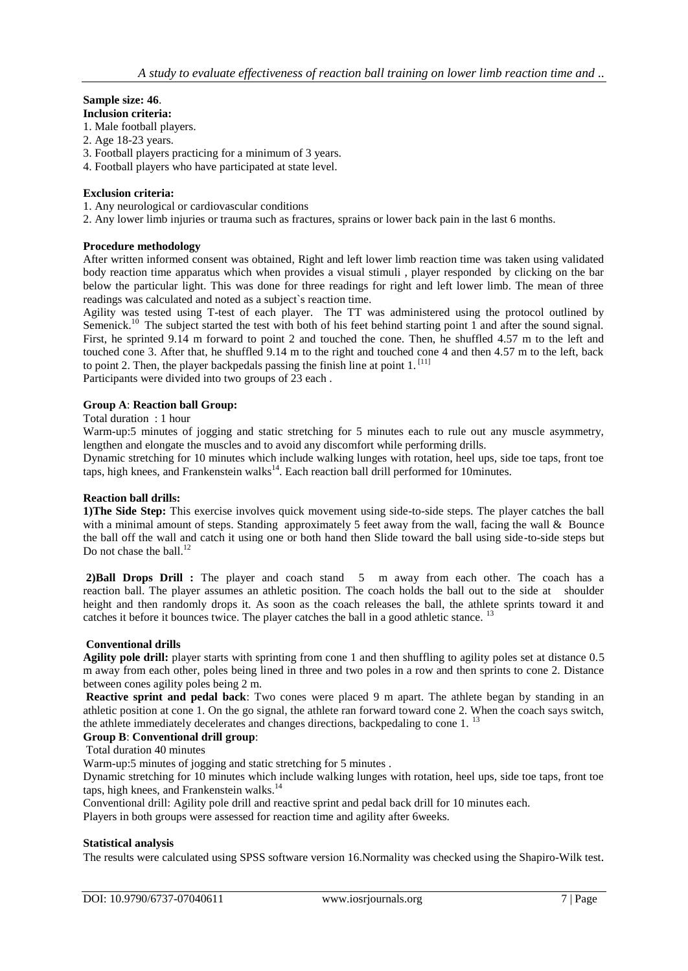# **Sample size: 46**.

**Inclusion criteria:**

- 1. Male football players.
- 2. Age 18-23 years.
- 3. Football players practicing for a minimum of 3 years.
- 4. Football players who have participated at state level.

#### **Exclusion criteria:**

- 1. Any neurological or cardiovascular conditions
- 2. Any lower limb injuries or trauma such as fractures, sprains or lower back pain in the last 6 months.

#### **Procedure methodology**

After written informed consent was obtained, Right and left lower limb reaction time was taken using validated body reaction time apparatus which when provides a visual stimuli , player responded by clicking on the bar below the particular light. This was done for three readings for right and left lower limb. The mean of three readings was calculated and noted as a subject`s reaction time.

Agility was tested using T-test of each player. The TT was administered using the protocol outlined by Semenick.<sup>10</sup> The subject started the test with both of his feet behind starting point 1 and after the sound signal. First, he sprinted 9.14 m forward to point 2 and touched the cone. Then, he shuffled 4.57 m to the left and touched cone 3. After that, he shuffled 9.14 m to the right and touched cone 4 and then 4.57 m to the left, back to point 2. Then, the player backpedals passing the finish line at point  $1$ . [11] Participants were divided into two groups of 23 each .

#### **Group A**: **Reaction ball Group:**

#### Total duration : 1 hour

Warm-up:5 minutes of jogging and static stretching for 5 minutes each to rule out any muscle asymmetry, lengthen and elongate the muscles and to avoid any discomfort while performing drills.

Dynamic stretching for 10 minutes which include walking lunges with rotation, heel ups, side toe taps, front toe taps, high knees, and Frankenstein walks<sup>14</sup>. Each reaction ball drill performed for 10minutes.

#### **Reaction ball drills:**

**1)The Side Step:** This exercise involves quick movement using side-to-side steps. The player catches the ball with a minimal amount of steps. Standing approximately 5 feet away from the wall, facing the wall & Bounce the ball off the wall and catch it using one or both hand then Slide toward the ball using side-to-side steps but Do not chase the ball. $^{12}$ 

**2)Ball Drops Drill :** The player and coach stand 5 m away from each other. The coach has a reaction ball. The player assumes an athletic position. The coach holds the ball out to the side at shoulder height and then randomly drops it. As soon as the coach releases the ball, the athlete sprints toward it and catches it before it bounces twice. The player catches the ball in a good athletic stance. <sup>13</sup>

#### **Conventional drills**

**Agility pole drill:** player starts with sprinting from cone 1 and then shuffling to agility poles set at distance 0.5 m away from each other, poles being lined in three and two poles in a row and then sprints to cone 2. Distance between cones agility poles being 2 m.

**Reactive sprint and pedal back**: Two cones were placed 9 m apart. The athlete began by standing in an athletic position at cone 1. On the go signal, the athlete ran forward toward cone 2. When the coach says switch, the athlete immediately decelerates and changes directions, backpedaling to cone 1.<sup>13</sup>

#### **Group B**: **Conventional drill group**:

Total duration 40 minutes

Warm-up:5 minutes of jogging and static stretching for 5 minutes .

Dynamic stretching for 10 minutes which include walking lunges with rotation, heel ups, side toe taps, front toe taps, high knees, and Frankenstein walks.<sup>14</sup>

Conventional drill: Agility pole drill and reactive sprint and pedal back drill for 10 minutes each.

Players in both groups were assessed for reaction time and agility after 6weeks.

#### **Statistical analysis**

The results were calculated using SPSS software version 16.Normality was checked using the Shapiro-Wilk test.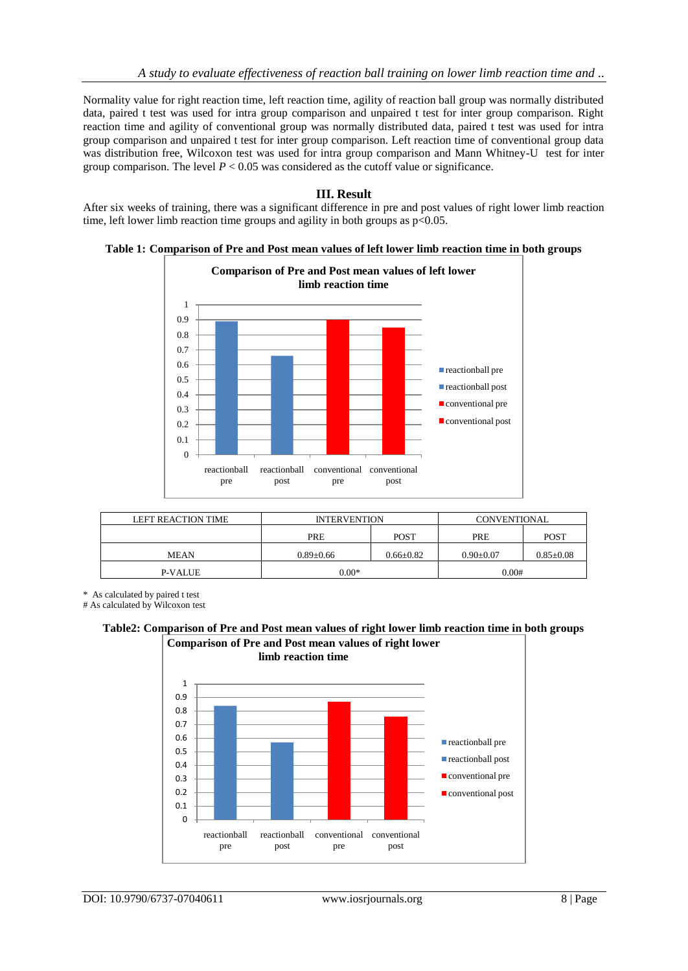Normality value for right reaction time, left reaction time, agility of reaction ball group was normally distributed data, paired t test was used for intra group comparison and unpaired t test for inter group comparison. Right reaction time and agility of conventional group was normally distributed data, paired t test was used for intra group comparison and unpaired t test for inter group comparison. Left reaction time of conventional group data was distribution free, Wilcoxon test was used for intra group comparison and Mann Whitney-U test for inter group comparison. The level  $P < 0.05$  was considered as the cutoff value or significance.

## **III. Result**

After six weeks of training, there was a significant difference in pre and post values of right lower limb reaction time, left lower limb reaction time groups and agility in both groups as  $p<0.05$ .

**Table 1: Comparison of Pre and Post mean values of left lower limb reaction time in both groups**



| <b>LEFT REACTION TIME</b> | <b>INTERVENTION</b> |               | CONVENTIONAL  |                 |
|---------------------------|---------------------|---------------|---------------|-----------------|
|                           | <b>PRE</b>          | <b>POST</b>   | <b>PRE</b>    | <b>POST</b>     |
| <b>MEAN</b>               | $0.89 + 0.66$       | $0.66 + 0.82$ | $0.90 + 0.07$ | $0.85 \pm 0.08$ |
| P-VALUE                   | $0.00*$             |               | 0.00#         |                 |

\* As calculated by paired t test

# As calculated by Wilcoxon test

**Table2: Comparison of Pre and Post mean values of right lower limb reaction time in both groups Comparison of Pre and Post mean values of right lower** 

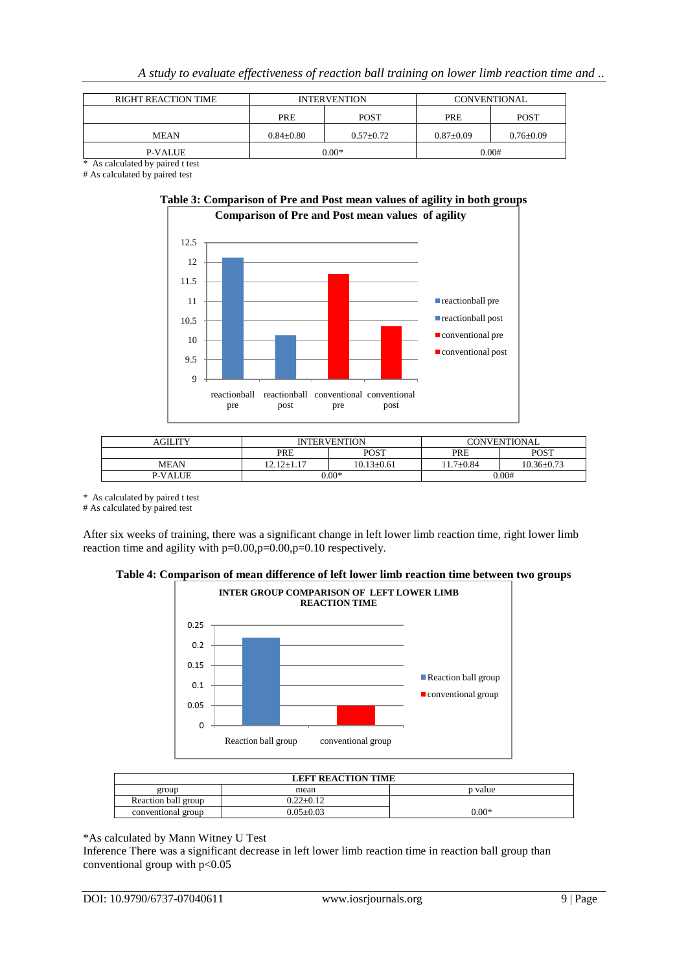| <b>RIGHT REACTION TIME</b> | <b>INTERVENTION</b> |               | CONVENTIONAL |                 |
|----------------------------|---------------------|---------------|--------------|-----------------|
|                            | <b>PRE</b>          | <b>POST</b>   | PRE          | <b>POST</b>     |
| <b>MEAN</b>                | $0.84 \pm 0.80$     | $0.57 + 0.72$ | $0.87+0.09$  | $0.76 \pm 0.09$ |
| P-VALUE                    |                     | $0.00*$       |              | 0.00#           |

\* As calculated by paired t test # As calculated by paired test



| <b>AGILITY</b> | <b>INTERVENTION</b> |                  | CONVENTIONAL    |                  |
|----------------|---------------------|------------------|-----------------|------------------|
|                | <b>PRE</b>          | POST             | PRE             | <b>POST</b>      |
| <b>MEAN</b>    | $12.12 + 1.17$      | $10.13 \pm 0.61$ | $11.7 \pm 0.84$ | $10.36 \pm 0.73$ |
| <b>P-VALUE</b> | $0.00*$             |                  | 0.00#           |                  |

reactionball conventional conventional

post

reactionball pre reactionball post conventional pre conventional post

pre

\* As calculated by paired t test

9 9.5 10 10.5 11

> reactionball pre

post

# As calculated by paired test

After six weeks of training, there was a significant change in left lower limb reaction time, right lower limb reaction time and agility with p=0.00,p=0.00,p=0.10 respectively.





| <b>LEFT REACTION TIME</b> |                 |         |
|---------------------------|-----------------|---------|
| group                     | mean            | p value |
| Reaction ball group       | $0.22 \pm 0.12$ |         |
| conventional group        | $0.05 \pm 0.03$ | $0.00*$ |

\*As calculated by Mann Witney U Test

Inference There was a significant decrease in left lower limb reaction time in reaction ball group than conventional group with p<0.05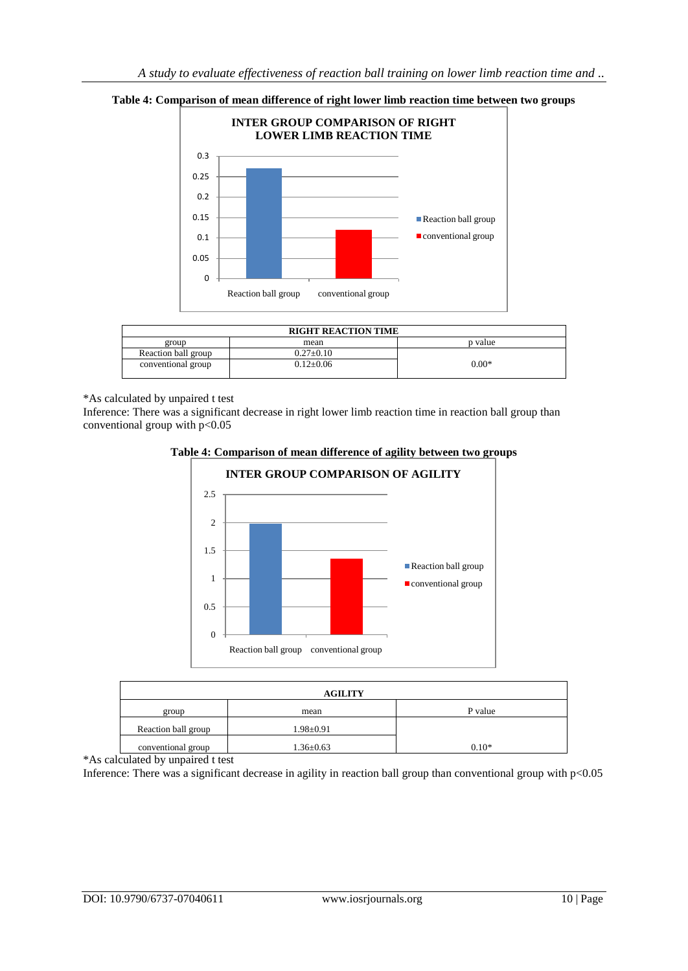

#### **Table 4: Comparison of mean difference of right lower limb reaction time between two groups**

| <b>RIGHT REACTION TIME</b> |                 |         |
|----------------------------|-----------------|---------|
| group                      | mean            | p value |
| Reaction ball group        | $0.27 \pm 0.10$ |         |
| conventional group         | $0.12+0.06$     | $0.00*$ |

\*As calculated by unpaired t test

Inference: There was a significant decrease in right lower limb reaction time in reaction ball group than conventional group with  $p<0.05$ 



#### **Table 4: Comparison of mean difference of agility between two groups**

| <b>AGILITY</b>      |                 |         |
|---------------------|-----------------|---------|
| group               | mean            | P value |
| Reaction ball group | $1.98 \pm 0.91$ |         |
| conventional group  | $1.36 \pm 0.63$ | $0.10*$ |

\*As calculated by unpaired t test

Inference: There was a significant decrease in agility in reaction ball group than conventional group with p<0.05